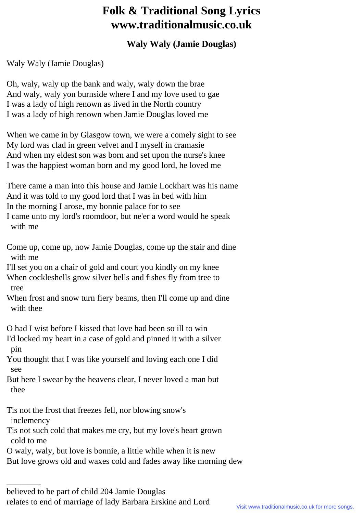## **Folk & Traditional Song Lyrics www.traditionalmusic.co.uk**

## **Waly Waly (Jamie Douglas)**

Waly Waly (Jamie Douglas)

Oh, waly, waly up the bank and waly, waly down the brae And waly, waly yon burnside where I and my love used to gae I was a lady of high renown as lived in the North country I was a lady of high renown when Jamie Douglas loved me

When we came in by Glasgow town, we were a comely sight to see My lord was clad in green velvet and I myself in cramasie And when my eldest son was born and set upon the nurse's knee I was the happiest woman born and my good lord, he loved me

There came a man into this house and Jamie Lockhart was his name And it was told to my good lord that I was in bed with him In the morning I arose, my bonnie palace for to see I came unto my lord's roomdoor, but ne'er a word would he speak with me

Come up, come up, now Jamie Douglas, come up the stair and dine with me

I'll set you on a chair of gold and court you kindly on my knee When cockleshells grow silver bells and fishes fly from tree to tree

When frost and snow turn fiery beams, then I'll come up and dine with thee

O had I wist before I kissed that love had been so ill to win I'd locked my heart in a case of gold and pinned it with a silver pin

You thought that I was like yourself and loving each one I did see

But here I swear by the heavens clear, I never loved a man but thee

Tis not the frost that freezes fell, nor blowing snow's inclemency

Tis not such cold that makes me cry, but my love's heart grown cold to me

O waly, waly, but love is bonnie, a little while when it is new

But love grows old and waxes cold and fades away like morning dew

\_\_\_\_\_\_\_\_

believed to be part of child 204 Jamie Douglas relates to end of marriage of lady Barbara Erskine and Lord